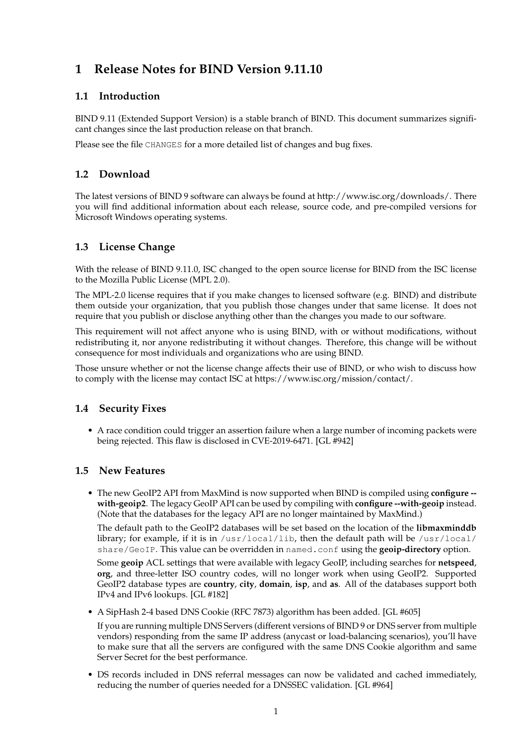# **1 Release Notes for BIND Version 9.11.10**

### **1.1 Introduction**

BIND 9.11 (Extended Support Version) is a stable branch of BIND. This document summarizes significant changes since the last production release on that branch.

Please see the file CHANGES for a more detailed list of changes and bug fixes.

# **1.2 Download**

The latest versions of BIND 9 software can always be found at http://www.isc.org/downloads/. There you will find additional information about each release, source code, and pre-compiled versions for Microsoft Windows operating systems.

# **1.3 License Change**

With the release of BIND 9.11.0, ISC changed to the open source license for BIND from the ISC license to the Mozilla Public License (MPL 2.0).

The MPL-2.0 license requires that if you make changes to licensed software (e.g. BIND) and distribute them outside your organization, that you publish those changes under that same license. It does not require that you publish or disclose anything other than the changes you made to our software.

This requirement will not affect anyone who is using BIND, with or without modifications, without redistributing it, nor anyone redistributing it without changes. Therefore, this change will be without consequence for most individuals and organizations who are using BIND.

Those unsure whether or not the license change affects their use of BIND, or who wish to discuss how to comply with the license may contact ISC at https://www.isc.org/mission/contact/.

#### **1.4 Security Fixes**

• A race condition could trigger an assertion failure when a large number of incoming packets were being rejected. This flaw is disclosed in CVE-2019-6471. [GL #942]

#### **1.5 New Features**

• The new GeoIP2 API from MaxMind is now supported when BIND is compiled using **configure - with-geoip2**. The legacy GeoIP API can be used by compiling with **configure --with-geoip** instead. (Note that the databases for the legacy API are no longer maintained by MaxMind.)

The default path to the GeoIP2 databases will be set based on the location of the **libmaxminddb** library; for example, if it is in  $/$ usr $/$ local $/$ lib, then the default path will be  $/$ usr $/$ local $/$ share/GeoIP. This value can be overridden in named.conf using the **geoip-directory** option.

Some **geoip** ACL settings that were available with legacy GeoIP, including searches for **netspeed**, **org**, and three-letter ISO country codes, will no longer work when using GeoIP2. Supported GeoIP2 database types are **country**, **city**, **domain**, **isp**, and **as**. All of the databases support both IPv4 and IPv6 lookups. [GL #182]

• A SipHash 2-4 based DNS Cookie (RFC 7873) algorithm has been added. [GL #605]

If you are running multiple DNS Servers (different versions of BIND 9 or DNS server from multiple vendors) responding from the same IP address (anycast or load-balancing scenarios), you'll have to make sure that all the servers are configured with the same DNS Cookie algorithm and same Server Secret for the best performance.

• DS records included in DNS referral messages can now be validated and cached immediately, reducing the number of queries needed for a DNSSEC validation. [GL #964]